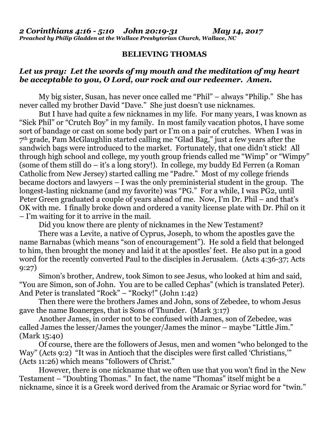## **BELIEVING THOMAS**

## *Let us pray: Let the words of my mouth and the meditation of my heart be acceptable to you, O Lord, our rock and our redeemer. Amen.*

My big sister, Susan, has never once called me "Phil" – always "Philip." She has never called my brother David "Dave." She just doesn't use nicknames.

But I have had quite a few nicknames in my life. For many years, I was known as "Sick Phil" or "Crutch Boy" in my family. In most family vacation photos, I have some sort of bandage or cast on some body part or I'm on a pair of crutches. When I was in 7th grade, Pam McGlaughlin started calling me "Glad Bag," just a few years after the sandwich bags were introduced to the market. Fortunately, that one didn't stick! All through high school and college, my youth group friends called me "Wimp" or "Wimpy" (some of them still do – it's a long story!). In college, my buddy Ed Ferren (a Roman Catholic from New Jersey) started calling me "Padre." Most of my college friends became doctors and lawyers – I was the only preministerial student in the group. The longest-lasting nickname (and my favorite) was "PG." For a while, I was PG2, until Peter Green graduated a couple of years ahead of me. Now, I'm Dr. Phil – and that's OK with me. I finally broke down and ordered a vanity license plate with Dr. Phil on it – I'm waiting for it to arrive in the mail.

Did you know there are plenty of nicknames in the New Testament?

There was a Levite, a native of Cyprus, Joseph, to whom the apostles gave the name Barnabas (which means "son of encouragement"). He sold a field that belonged to him, then brought the money and laid it at the apostles' feet. He also put in a good word for the recently converted Paul to the disciples in Jerusalem. (Acts 4:36-37; Acts 9:27)

Simon's brother, Andrew, took Simon to see Jesus, who looked at him and said, "You are Simon, son of John. You are to be called Cephas" (which is translated Peter). And Peter is translated "Rock" – "Rocky!" (John 1:42)

Then there were the brothers James and John, sons of Zebedee, to whom Jesus gave the name Boanerges, that is Sons of Thunder. (Mark 3:17)

Another James, in order not to be confused with James, son of Zebedee, was called James the lesser/James the younger/James the minor – maybe "Little Jim." (Mark 15:40)

Of course, there are the followers of Jesus, men and women "who belonged to the Way" (Acts 9:2) "It was in Antioch that the disciples were first called 'Christians,'" (Acts 11:26) which means "followers of Christ."

However, there is one nickname that we often use that you won't find in the New Testament – "Doubting Thomas." In fact, the name "Thomas" itself might be a nickname, since it is a Greek word derived from the Aramaic or Syriac word for "twin."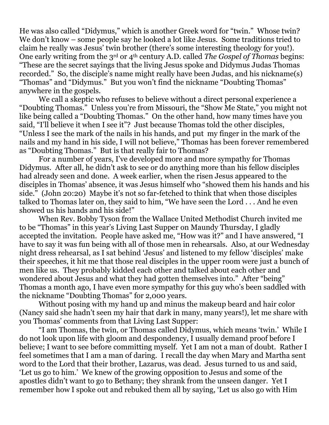He was also called "Didymus," which is another Greek word for "twin." Whose twin? We don't know – some people say he looked a lot like Jesus. Some traditions tried to claim he really was Jesus' twin brother (there's some interesting theology for you!). One early writing from the 3rd or 4th century A.D. called *The Gospel of Thomas* begins: "These are the secret sayings that the living Jesus spoke and Didymus Judas Thomas recorded." So, the disciple's name might really have been Judas, and his nickname(s) "Thomas" and "Didymus." But you won't find the nickname "Doubting Thomas" anywhere in the gospels.

We call a skeptic who refuses to believe without a direct personal experience a "Doubting Thomas." Unless you're from Missouri, the "Show Me State," you might not like being called a "Doubting Thomas." On the other hand, how many times have you said, "I'll believe it when I see it"? Just because Thomas told the other disciples, "Unless I see the mark of the nails in his hands, and put my finger in the mark of the nails and my hand in his side, I will not believe," Thomas has been forever remembered as "Doubting Thomas." But is that really fair to Thomas?

For a number of years, I've developed more and more sympathy for Thomas Didymus. After all, he didn't ask to see or do anything more than his fellow disciples had already seen and done. A week earlier, when the risen Jesus appeared to the disciples in Thomas' absence, it was Jesus himself who "showed them his hands and his side." (John 20:20) Maybe it's not so far-fetched to think that when those disciples talked to Thomas later on, they said to him, "We have seen the Lord . . . And he even showed us his hands and his side!"

When Rev. Bobby Tyson from the Wallace United Methodist Church invited me to be "Thomas" in this year's Living Last Supper on Maundy Thursday, I gladly accepted the invitation. People have asked me, "How was it?" and I have answered, "I have to say it was fun being with all of those men in rehearsals. Also, at our Wednesday night dress rehearsal, as I sat behind 'Jesus' and listened to my fellow 'disciples' make their speeches, it hit me that those real disciples in the upper room were just a bunch of men like us. They probably kidded each other and talked about each other and wondered about Jesus and what they had gotten themselves into." After "being" Thomas a month ago, I have even more sympathy for this guy who's been saddled with the nickname "Doubting Thomas" for 2,000 years.

Without posing with my hand up and minus the makeup beard and hair color (Nancy said she hadn't seen my hair that dark in many, many years!), let me share with you Thomas' comments from that Living Last Supper:

"I am Thomas, the twin, or Thomas called Didymus, which means 'twin.' While I do not look upon life with gloom and despondency, I usually demand proof before I believe; I want to see before committing myself. Yet I am not a man of doubt. Rather I feel sometimes that I am a man of daring. I recall the day when Mary and Martha sent word to the Lord that their brother, Lazarus, was dead. Jesus turned to us and said, 'Let us go to him.' We knew of the growing opposition to Jesus and some of the apostles didn't want to go to Bethany; they shrank from the unseen danger. Yet I remember how I spoke out and rebuked them all by saying, 'Let us also go with Him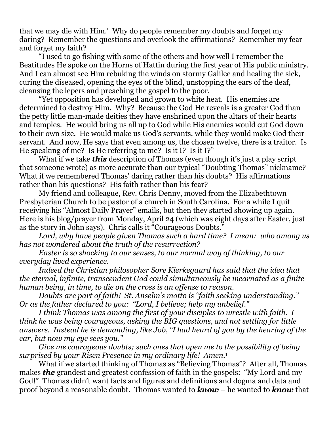that we may die with Him.' Why do people remember my doubts and forget my daring? Remember the questions and overlook the affirmations? Remember my fear and forget my faith?

"I used to go fishing with some of the others and how well I remember the Beatitudes He spoke on the Horns of Hattin during the first year of His public ministry. And I can almost see Him rebuking the winds on stormy Galilee and healing the sick, curing the diseased, opening the eyes of the blind, unstopping the ears of the deaf, cleansing the lepers and preaching the gospel to the poor.

"Yet opposition has developed and grown to white heat. His enemies are determined to destroy Him. Why? Because the God He reveals is a greater God than the petty little man-made deities they have enshrined upon the altars of their hearts and temples. He would bring us all up to God while His enemies would cut God down to their own size. He would make us God's servants, while they would make God their servant. And now, He says that even among us, the chosen twelve, there is a traitor. Is He speaking of me? Is He referring to me? Is it I? Is it I?"

What if we take *this* description of Thomas (even though it's just a play script that someone wrote) as more accurate than our typical "Doubting Thomas" nickname? What if we remembered Thomas' daring rather than his doubts? His affirmations rather than his questions? His faith rather than his fear?

My friend and colleague, Rev. Chris Denny, moved from the Elizabethtown Presbyterian Church to be pastor of a church in South Carolina. For a while I quit receiving his "Almost Daily Prayer" emails, but then they started showing up again. Here is his blog/prayer from Monday, April 24 (which was eight days after Easter, just as the story in John says). Chris calls it "Courageous Doubts."

*Lord, why have people given Thomas such a hard time? I mean: who among us has not wondered about the truth of the resurrection?*

*Easter is so shocking to our senses, to our normal way of thinking, to our everyday lived experience.*

*Indeed the Christian philosopher Sore Kierkegaard has said that the idea that the eternal, infinite, transcendent God could simultaneously be incarnated as a finite human being, in time, to die on the cross is an offense to reason.*

*Doubts are part of faith! St. Anselm's motto is "faith seeking understanding." Or as the father declared to you: "Lord, I believe; help my unbelief."*

*I think Thomas was among the first of your disciples to wrestle with faith. I think he was being courageous, asking the BIG questions, and not settling for little answers. Instead he is demanding, like Job, "I had heard of you by the hearing of the ear, but now my eye sees you."* 

*Give me courageous doubts; such ones that open me to the possibility of being surprised by your Risen Presence in my ordinary life! Amen.*<sup>1</sup>

What if we started thinking of Thomas as "Believing Thomas"? After all, Thomas makes *the* grandest and greatest confession of faith in the gospels: "My Lord and my God!" Thomas didn't want facts and figures and definitions and dogma and data and proof beyond a reasonable doubt. Thomas wanted to *know* – he wanted to *know* that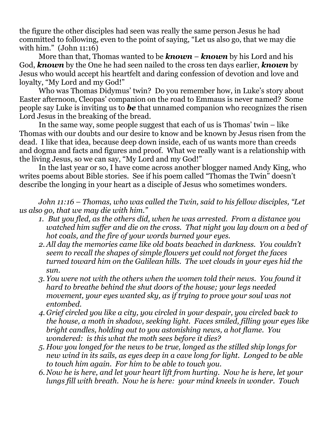the figure the other disciples had seen was really the same person Jesus he had committed to following, even to the point of saying, "Let us also go, that we may die with him." (John 11:16)

More than that, Thomas wanted to be *known* – *known* by his Lord and his God, *known* by the One he had seen nailed to the cross ten days earlier, *known* by Jesus who would accept his heartfelt and daring confession of devotion and love and loyalty, "My Lord and my God!"

Who was Thomas Didymus' twin? Do you remember how, in Luke's story about Easter afternoon, Cleopas' companion on the road to Emmaus is never named? Some people say Luke is inviting us to *be* that unnamed companion who recognizes the risen Lord Jesus in the breaking of the bread.

In the same way, some people suggest that each of us is Thomas' twin  $-$  like Thomas with our doubts and our desire to know and be known by Jesus risen from the dead. I like that idea, because deep down inside, each of us wants more than creeds and dogma and facts and figures and proof. What we really want is a relationship with the living Jesus, so we can say, "My Lord and my God!"

In the last year or so, I have come across another blogger named Andy King, who writes poems about Bible stories. See if his poem called "Thomas the Twin" doesn't describe the longing in your heart as a disciple of Jesus who sometimes wonders.

*John 11:16 – Thomas, who was called the Twin, said to his fellow disciples, "Let us also go, that we may die with him."*

- *1. But you fled, as the others did, when he was arrested. From a distance you watched him suffer and die on the cross. That night you lay down on a bed of hot coals, and the fire of your words burned your eyes.*
- *2. All day the memories came like old boats beached in darkness. You couldn't seem to recall the shapes of simple flowers yet could not forget the faces turned toward him on the Galilean hills. The wet clouds in your eyes hid the sun.*
- *3. You were not with the others when the women told their news. You found it hard to breathe behind the shut doors of the house; your legs needed movement, your eyes wanted sky, as if trying to prove your soul was not entombed.*
- *4. Grief circled you like a city, you circled in your despair, you circled back to the house, a moth in shadow, seeking light. Faces smiled, filling your eyes like bright candles, holding out to you astonishing news, a hot flame. You wondered: is this what the moth sees before it dies?*
- *5. How you longed for the news to be true, longed as the stilled ship longs for new wind in its sails, as eyes deep in a cave long for light. Longed to be able to touch him again. For him to be able to touch you.*
- *6. Now he is here, and let your heart lift from hurting. Now he is here, let your lungs fill with breath. Now he is here: your mind kneels in wonder. Touch*